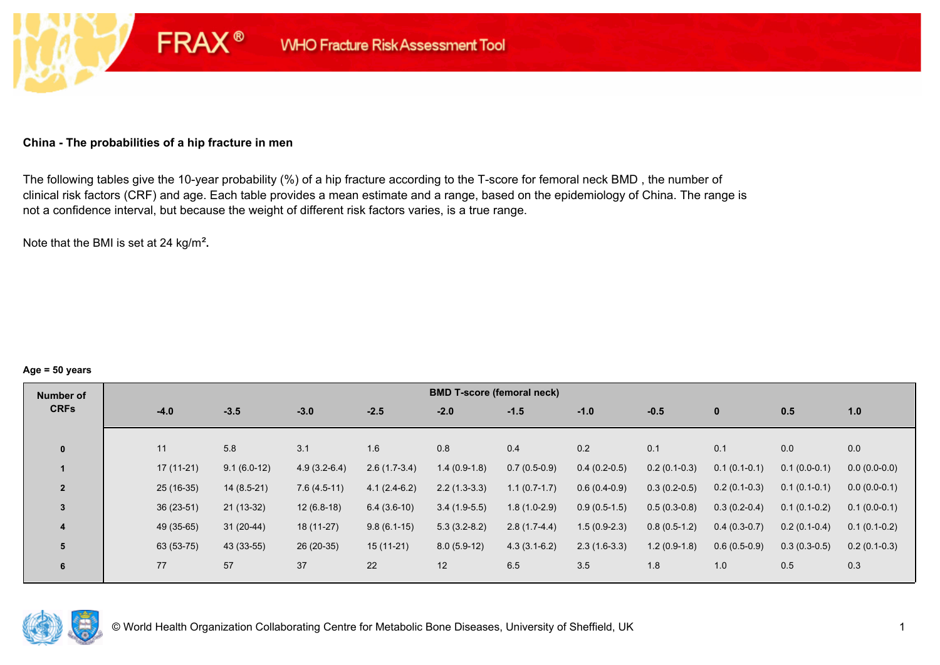#### **China - The probabilities of a hip fracture in men**

**FRAX®** 

The following tables give the 10-year probability (%) of a hip fracture according to the T-score for femoral neck BMD , the number of clinical risk factors (CRF) and age. Each table provides a mean estimate and a range, based on the epidemiology of China. The range is not a confidence interval, but because the weight of different risk factors varies, is a true range.

Note that the BMI is set at 24 kg/m²**.** 

#### **Age = 50 years**

| Number of      |             |               |                |                | <b>BMD T-score (femoral neck)</b> |                |                |                |                |                |                |
|----------------|-------------|---------------|----------------|----------------|-----------------------------------|----------------|----------------|----------------|----------------|----------------|----------------|
| <b>CRFs</b>    | $-4.0$      | $-3.5$        | $-3.0$         | $-2.5$         | $-2.0$                            | $-1.5$         | $-1.0$         | $-0.5$         | $\mathbf{0}$   | 0.5            | 1.0            |
|                |             |               |                |                |                                   |                |                |                |                |                |                |
| $\bf{0}$       | 11          | 5.8           | 3.1            | 1.6            | 0.8                               | 0.4            | 0.2            | 0.1            | 0.1            | 0.0            | 0.0            |
|                | $17(11-21)$ | $9.1(6.0-12)$ | $4.9(3.2-6.4)$ | $2.6(1.7-3.4)$ | $1.4(0.9-1.8)$                    | $0.7(0.5-0.9)$ | $0.4(0.2-0.5)$ | $0.2(0.1-0.3)$ | $0.1(0.1-0.1)$ | $0.1(0.0-0.1)$ | $0.0(0.0-0.0)$ |
| $\overline{2}$ | $25(16-35)$ | $14(8.5-21)$  | $7.6(4.5-11)$  | $4.1(2.4-6.2)$ | $2.2(1.3-3.3)$                    | $1.1(0.7-1.7)$ | $0.6(0.4-0.9)$ | $0.3(0.2-0.5)$ | $0.2(0.1-0.3)$ | $0.1(0.1-0.1)$ | $0.0(0.0-0.1)$ |
| 3              | $36(23-51)$ | $21(13-32)$   | $12(6.8-18)$   | $6.4(3.6-10)$  | $3.4(1.9-5.5)$                    | $1.8(1.0-2.9)$ | $0.9(0.5-1.5)$ | $0.5(0.3-0.8)$ | $0.3(0.2-0.4)$ | $0.1(0.1-0.2)$ | $0.1(0.0-0.1)$ |
| 4              | 49 (35-65)  | $31(20-44)$   | $18(11-27)$    | $9.8(6.1-15)$  | $5.3(3.2-8.2)$                    | $2.8(1.7-4.4)$ | $1.5(0.9-2.3)$ | $0.8(0.5-1.2)$ | $0.4(0.3-0.7)$ | $0.2(0.1-0.4)$ | $0.1(0.1-0.2)$ |
| 5              | 63 (53-75)  | 43 (33-55)    | $26(20-35)$    | $15(11-21)$    | $8.0(5.9-12)$                     | $4.3(3.1-6.2)$ | $2.3(1.6-3.3)$ | $1.2(0.9-1.8)$ | $0.6(0.5-0.9)$ | $0.3(0.3-0.5)$ | $0.2(0.1-0.3)$ |
| 6              | 77          | 57            | 37             | 22             | 12                                | 6.5            | 3.5            | 1.8            | 1.0            | 0.5            | 0.3            |

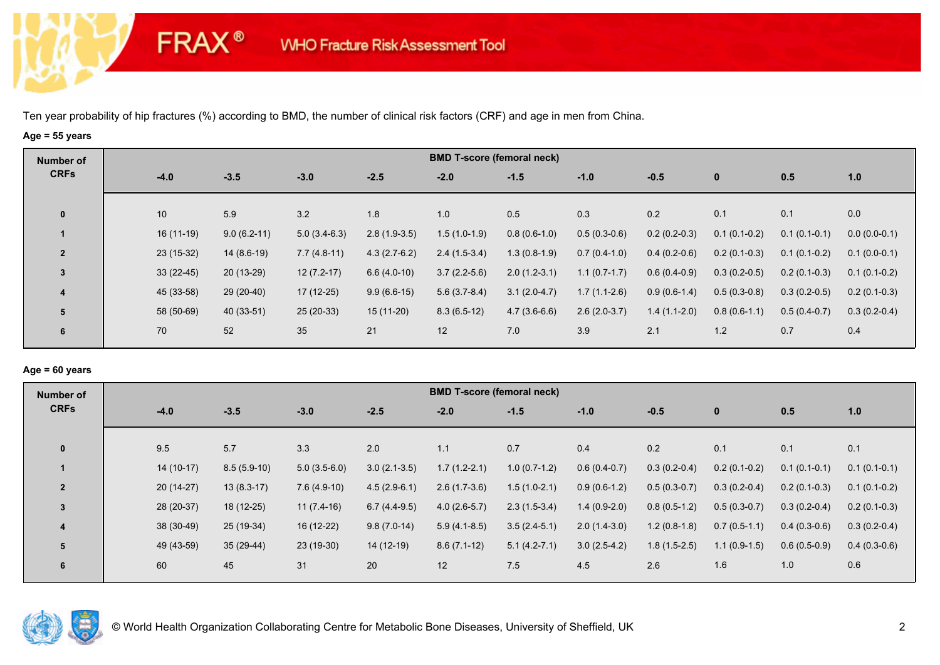**FRAX®** 

# **Age = 55 years**

| Number of      |             |               |                |                | <b>BMD T-score (femoral neck)</b> |                |                |                |                |                |                |
|----------------|-------------|---------------|----------------|----------------|-----------------------------------|----------------|----------------|----------------|----------------|----------------|----------------|
| <b>CRFs</b>    | $-4.0$      | $-3.5$        | $-3.0$         | $-2.5$         | $-2.0$                            | $-1.5$         | $-1.0$         | $-0.5$         | $\mathbf 0$    | 0.5            | 1.0            |
| $\mathbf 0$    | 10          | 5.9           | 3.2            | 1.8            | 1.0                               | 0.5            | 0.3            | 0.2            | 0.1            | 0.1            | 0.0            |
|                | $16(11-19)$ | $9.0(6.2-11)$ | $5.0(3.4-6.3)$ | $2.8(1.9-3.5)$ | $1.5(1.0-1.9)$                    | $0.8(0.6-1.0)$ | $0.5(0.3-0.6)$ | $0.2(0.2-0.3)$ | $0.1(0.1-0.2)$ | $0.1(0.1-0.1)$ | $0.0(0.0-0.1)$ |
| $\overline{2}$ | $23(15-32)$ | $14(8.6-19)$  | $7.7(4.8-11)$  | $4.3(2.7-6.2)$ | $2.4(1.5-3.4)$                    | $1.3(0.8-1.9)$ | $0.7(0.4-1.0)$ | $0.4(0.2-0.6)$ | $0.2(0.1-0.3)$ | $0.1(0.1-0.2)$ | $0.1(0.0-0.1)$ |
| $\mathbf{3}$   | $33(22-45)$ | $20(13-29)$   | $12(7.2-17)$   | $6.6(4.0-10)$  | $3.7(2.2-5.6)$                    | $2.0(1.2-3.1)$ | $1.1(0.7-1.7)$ | $0.6(0.4-0.9)$ | $0.3(0.2-0.5)$ | $0.2(0.1-0.3)$ | $0.1(0.1-0.2)$ |
| 4              | 45 (33-58)  | $29(20-40)$   | 17 (12-25)     | $9.9(6.6-15)$  | $5.6(3.7-8.4)$                    | $3.1(2.0-4.7)$ | $1.7(1.1-2.6)$ | $0.9(0.6-1.4)$ | $0.5(0.3-0.8)$ | $0.3(0.2-0.5)$ | $0.2(0.1-0.3)$ |
| 5              | 58 (50-69)  | 40 (33-51)    | $25(20-33)$    | $15(11-20)$    | $8.3(6.5-12)$                     | $4.7(3.6-6.6)$ | $2.6(2.0-3.7)$ | $1.4(1.1-2.0)$ | $0.8(0.6-1.1)$ | $0.5(0.4-0.7)$ | $0.3(0.2-0.4)$ |
| 6              | 70          | 52            | 35             | 21             | 12                                | 7.0            | 3.9            | 2.1            | 1.2            | 0.7            | 0.4            |

## **Age = 60 years**

| Number of      |             |               |                |                | <b>BMD T-score (femoral neck)</b> |                |                |                |                |                |                |
|----------------|-------------|---------------|----------------|----------------|-----------------------------------|----------------|----------------|----------------|----------------|----------------|----------------|
| <b>CRFs</b>    | $-4.0$      | $-3.5$        | $-3.0$         | $-2.5$         | $-2.0$                            | $-1.5$         | $-1.0$         | $-0.5$         | $\mathbf{0}$   | 0.5            | 1.0            |
| $\mathbf{0}$   | 9.5         | 5.7           | 3.3            | 2.0            | 1.1                               | 0.7            | 0.4            | 0.2            | 0.1            | 0.1            | 0.1            |
|                | $14(10-17)$ | $8.5(5.9-10)$ | $5.0(3.5-6.0)$ | $3.0(2.1-3.5)$ | $1.7(1.2-2.1)$                    | $1.0(0.7-1.2)$ | $0.6(0.4-0.7)$ | $0.3(0.2-0.4)$ | $0.2(0.1-0.2)$ | $0.1(0.1-0.1)$ | $0.1(0.1-0.1)$ |
| $\overline{2}$ | $20(14-27)$ | $13(8.3-17)$  | $7.6(4.9-10)$  | $4.5(2.9-6.1)$ | $2.6(1.7-3.6)$                    | $1.5(1.0-2.1)$ | $0.9(0.6-1.2)$ | $0.5(0.3-0.7)$ | $0.3(0.2-0.4)$ | $0.2(0.1-0.3)$ | $0.1(0.1-0.2)$ |
| $\overline{3}$ | 28 (20-37)  | 18 (12-25)    | $11(7.4-16)$   | $6.7(4.4-9.5)$ | $4.0(2.6-5.7)$                    | $2.3(1.5-3.4)$ | $1.4(0.9-2.0)$ | $0.8(0.5-1.2)$ | $0.5(0.3-0.7)$ | $0.3(0.2-0.4)$ | $0.2(0.1-0.3)$ |
| $\overline{4}$ | 38 (30-49)  | 25 (19-34)    | 16 (12-22)     | $9.8(7.0-14)$  | $5.9(4.1-8.5)$                    | $3.5(2.4-5.1)$ | $2.0(1.4-3.0)$ | $1.2(0.8-1.8)$ | $0.7(0.5-1.1)$ | $0.4(0.3-0.6)$ | $0.3(0.2-0.4)$ |
| 5              | 49 (43-59)  | $35(29-44)$   | $23(19-30)$    | 14 (12-19)     | $8.6(7.1-12)$                     | $5.1(4.2-7.1)$ | $3.0(2.5-4.2)$ | $1.8(1.5-2.5)$ | $1.1(0.9-1.5)$ | $0.6(0.5-0.9)$ | $0.4(0.3-0.6)$ |
| 6              | 60          | 45            | 31             | 20             | 12                                | 7.5            | 4.5            | 2.6            | 1.6            | 1.0            | 0.6            |

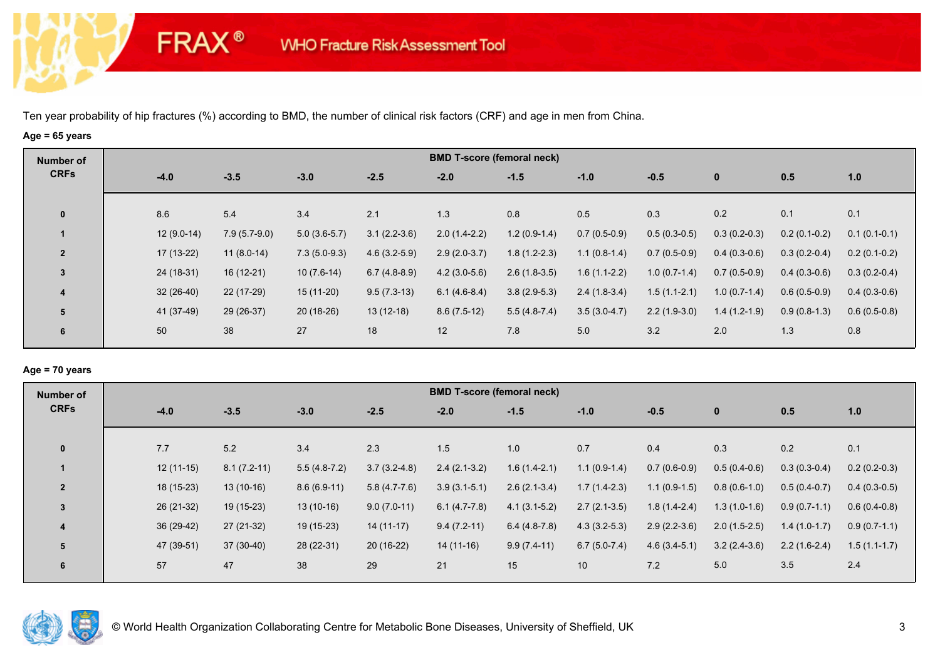**FRAX®** 

# **Age = 65 years**

| Number of               |              |                |                |                | <b>BMD T-score (femoral neck)</b> |                |                |                |                |                |                |
|-------------------------|--------------|----------------|----------------|----------------|-----------------------------------|----------------|----------------|----------------|----------------|----------------|----------------|
| <b>CRFs</b>             | $-4.0$       | $-3.5$         | $-3.0$         | $-2.5$         | $-2.0$                            | $-1.5$         | $-1.0$         | $-0.5$         | $\bf{0}$       | 0.5            | 1.0            |
| $\mathbf 0$             | 8.6          | 5.4            | 3.4            | 2.1            | 1.3                               | 0.8            | 0.5            | 0.3            | 0.2            | 0.1            | 0.1            |
| $\mathbf 1$             | $12(9.0-14)$ | $7.9(5.7-9.0)$ | $5.0(3.6-5.7)$ | $3.1(2.2-3.6)$ | $2.0(1.4-2.2)$                    | $1.2(0.9-1.4)$ | $0.7(0.5-0.9)$ | $0.5(0.3-0.5)$ | $0.3(0.2-0.3)$ | $0.2(0.1-0.2)$ | $0.1(0.1-0.1)$ |
| $\overline{2}$          | $17(13-22)$  | $11(8.0-14)$   | $7.3(5.0-9.3)$ | $4.6(3.2-5.9)$ | $2.9(2.0-3.7)$                    | $1.8(1.2-2.3)$ | $1.1(0.8-1.4)$ | $0.7(0.5-0.9)$ | $0.4(0.3-0.6)$ | $0.3(0.2-0.4)$ | $0.2(0.1-0.2)$ |
| $\mathbf{3}$            | 24 (18-31)   | $16(12-21)$    | $10(7.6-14)$   | $6.7(4.8-8.9)$ | $4.2(3.0-5.6)$                    | $2.6(1.8-3.5)$ | $1.6(1.1-2.2)$ | $1.0(0.7-1.4)$ | $0.7(0.5-0.9)$ | $0.4(0.3-0.6)$ | $0.3(0.2-0.4)$ |
| $\overline{\mathbf{4}}$ | $32(26-40)$  | 22 (17-29)     | 15 (11-20)     | $9.5(7.3-13)$  | $6.1(4.6-8.4)$                    | $3.8(2.9-5.3)$ | $2.4(1.8-3.4)$ | $1.5(1.1-2.1)$ | $1.0(0.7-1.4)$ | $0.6(0.5-0.9)$ | $0.4(0.3-0.6)$ |
| 5                       | 41 (37-49)   | $29(26-37)$    | $20(18-26)$    | $13(12-18)$    | $8.6(7.5-12)$                     | $5.5(4.8-7.4)$ | $3.5(3.0-4.7)$ | $2.2(1.9-3.0)$ | $1.4(1.2-1.9)$ | $0.9(0.8-1.3)$ | $0.6(0.5-0.8)$ |
| 6                       | 50           | 38             | 27             | 18             | 12                                | 7.8            | 5.0            | 3.2            | 2.0            | 1.3            | 0.8            |

## **Age = 70 years**

| Number of      |             |               |                |                | <b>BMD T-score (femoral neck)</b> |                |                |                |                |                |                |
|----------------|-------------|---------------|----------------|----------------|-----------------------------------|----------------|----------------|----------------|----------------|----------------|----------------|
| <b>CRFs</b>    | $-4.0$      | $-3.5$        | $-3.0$         | $-2.5$         | $-2.0$                            | $-1.5$         | $-1.0$         | $-0.5$         | $\mathbf{0}$   | 0.5            | 1.0            |
|                |             |               |                |                |                                   |                |                |                |                |                |                |
| $\mathbf 0$    | 7.7         | 5.2           | 3.4            | 2.3            | 1.5                               | 1.0            | 0.7            | 0.4            | 0.3            | 0.2            | 0.1            |
|                | $12(11-15)$ | $8.1(7.2-11)$ | $5.5(4.8-7.2)$ | $3.7(3.2-4.8)$ | $2.4(2.1-3.2)$                    | $1.6(1.4-2.1)$ | $1.1(0.9-1.4)$ | $0.7(0.6-0.9)$ | $0.5(0.4-0.6)$ | $0.3(0.3-0.4)$ | $0.2(0.2-0.3)$ |
| $\overline{2}$ | $18(15-23)$ | $13(10-16)$   | $8.6(6.9-11)$  | $5.8(4.7-7.6)$ | $3.9(3.1-5.1)$                    | $2.6(2.1-3.4)$ | $1.7(1.4-2.3)$ | $1.1(0.9-1.5)$ | $0.8(0.6-1.0)$ | $0.5(0.4-0.7)$ | $0.4(0.3-0.5)$ |
| 3              | 26 (21-32)  | $19(15-23)$   | $13(10-16)$    | $9.0(7.0-11)$  | $6.1(4.7-7.8)$                    | $4.1(3.1-5.2)$ | $2.7(2.1-3.5)$ | $1.8(1.4-2.4)$ | $1.3(1.0-1.6)$ | $0.9(0.7-1.1)$ | $0.6(0.4-0.8)$ |
| 4              | 36 (29-42)  | 27 (21-32)    | 19 (15-23)     | $14(11-17)$    | $9.4(7.2-11)$                     | $6.4(4.8-7.8)$ | $4.3(3.2-5.3)$ | $2.9(2.2-3.6)$ | $2.0(1.5-2.5)$ | $1.4(1.0-1.7)$ | $0.9(0.7-1.1)$ |
| 5              | 47 (39-51)  | $37(30-40)$   | 28 (22-31)     | $20(16-22)$    | $14(11-16)$                       | $9.9(7.4-11)$  | $6.7(5.0-7.4)$ | $4.6(3.4-5.1)$ | $3.2(2.4-3.6)$ | $2.2(1.6-2.4)$ | $1.5(1.1-1.7)$ |
| 6              | 57          | 47            | 38             | 29             | 21                                | 15             | 10             | 7.2            | 5.0            | 3.5            | 2.4            |

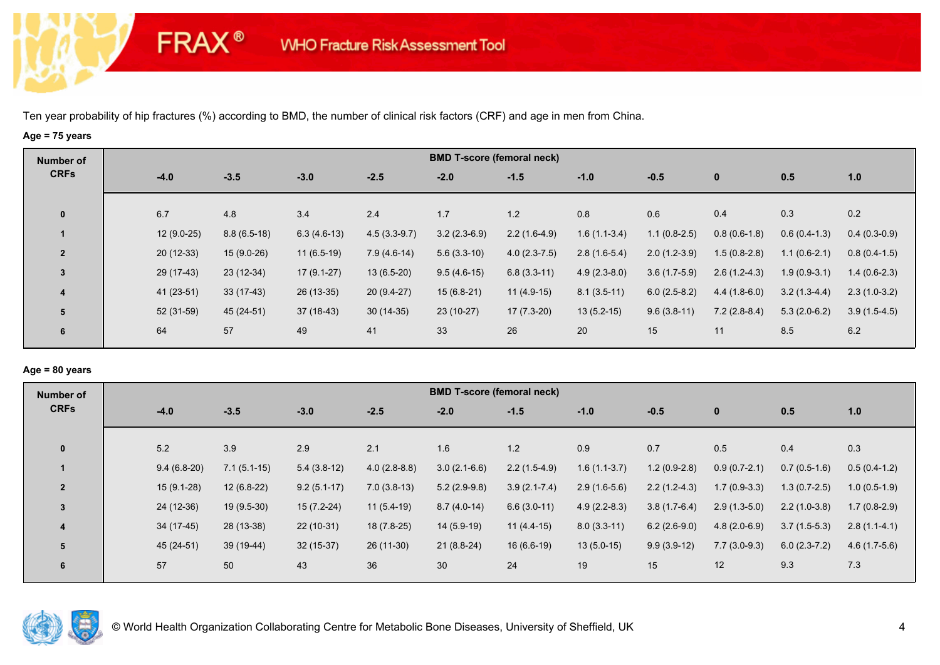**FRAX®** 

# **Age = 75 years**

| <b>Number of</b>        |              |               |               |                | <b>BMD T-score (femoral neck)</b> |                |                |                |                |                |                |
|-------------------------|--------------|---------------|---------------|----------------|-----------------------------------|----------------|----------------|----------------|----------------|----------------|----------------|
| <b>CRFs</b>             | $-4.0$       | $-3.5$        | $-3.0$        | $-2.5$         | $-2.0$                            | $-1.5$         | $-1.0$         | $-0.5$         | $\bf{0}$       | 0.5            | 1.0            |
| $\mathbf 0$             | 6.7          | 4.8           | 3.4           | 2.4            | 1.7                               | 1.2            | 0.8            | 0.6            | 0.4            | 0.3            | 0.2            |
|                         | $12(9.0-25)$ | $8.8(6.5-18)$ | $6.3(4.6-13)$ | $4.5(3.3-9.7)$ | $3.2(2.3-6.9)$                    | $2.2(1.6-4.9)$ | $1.6(1.1-3.4)$ | $1.1(0.8-2.5)$ | $0.8(0.6-1.8)$ | $0.6(0.4-1.3)$ | $0.4(0.3-0.9)$ |
| $\overline{2}$          | $20(12-33)$  | $15(9.0-26)$  | $11(6.5-19)$  | $7.9(4.6-14)$  | $5.6(3.3-10)$                     | $4.0(2.3-7.5)$ | $2.8(1.6-5.4)$ | $2.0(1.2-3.9)$ | $1.5(0.8-2.8)$ | $1.1(0.6-2.1)$ | $0.8(0.4-1.5)$ |
| 3                       | 29 (17-43)   | $23(12-34)$   | $17(9.1-27)$  | $13(6.5-20)$   | $9.5(4.6-15)$                     | $6.8(3.3-11)$  | $4.9(2.3-8.0)$ | $3.6(1.7-5.9)$ | $2.6(1.2-4.3)$ | $1.9(0.9-3.1)$ | $1.4(0.6-2.3)$ |
| $\overline{\mathbf{4}}$ | 41 (23-51)   | $33(17-43)$   | $26(13-35)$   | $20(9.4-27)$   | $15(6.8-21)$                      | $11(4.9-15)$   | $8.1(3.5-11)$  | $6.0(2.5-8.2)$ | $4.4(1.8-6.0)$ | $3.2(1.3-4.4)$ | $2.3(1.0-3.2)$ |
| 5                       | 52 (31-59)   | 45 (24-51)    | 37 (18-43)    | $30(14-35)$    | $23(10-27)$                       | $17(7.3-20)$   | $13(5.2-15)$   | $9.6(3.8-11)$  | $7.2(2.8-8.4)$ | $5.3(2.0-6.2)$ | $3.9(1.5-4.5)$ |
| 6                       | 64           | 57            | 49            | 41             | 33                                | 26             | 20             | 15             | 11             | 8.5            | 6.2            |

## **Age = 80 years**

| Number of      |               |               |               |                | <b>BMD T-score (femoral neck)</b> |                  |                |                |                |                |                |
|----------------|---------------|---------------|---------------|----------------|-----------------------------------|------------------|----------------|----------------|----------------|----------------|----------------|
| <b>CRFs</b>    | $-4.0$        | $-3.5$        | $-3.0$        | $-2.5$         | $-2.0$                            | $-1.5$           | $-1.0$         | $-0.5$         | $\mathbf{0}$   | 0.5            | 1.0            |
| $\mathbf{0}$   | 5.2           | 3.9           | 2.9           | 2.1            | 1.6                               | 1.2              | 0.9            | 0.7            | 0.5            | 0.4            | 0.3            |
|                | $9.4(6.8-20)$ | $7.1(5.1-15)$ | $5.4(3.8-12)$ | $4.0(2.8-8.8)$ | $3.0(2.1-6.6)$                    | $2.2(1.5-4.9)$   | $1.6(1.1-3.7)$ | $1.2(0.9-2.8)$ | $0.9(0.7-2.1)$ | $0.7(0.5-1.6)$ | $0.5(0.4-1.2)$ |
| $\overline{2}$ | $15(9.1-28)$  | $12(6.8-22)$  | $9.2(5.1-17)$ | $7.0(3.8-13)$  | $5.2(2.9-9.8)$                    | $3.9(2.1 - 7.4)$ | $2.9(1.6-5.6)$ | $2.2(1.2-4.3)$ | $1.7(0.9-3.3)$ | $1.3(0.7-2.5)$ | $1.0(0.5-1.9)$ |
| 3              | 24 (12-36)    | $19(9.5-30)$  | $15(7.2-24)$  | $11(5.4-19)$   | $8.7(4.0-14)$                     | $6.6(3.0-11)$    | $4.9(2.2-8.3)$ | $3.8(1.7-6.4)$ | $2.9(1.3-5.0)$ | $2.2(1.0-3.8)$ | $1.7(0.8-2.9)$ |
| $\overline{4}$ | $34(17-45)$   | 28 (13-38)    | $22(10-31)$   | $18(7.8-25)$   | $14(5.9-19)$                      | $11(4.4-15)$     | $8.0(3.3-11)$  | $6.2(2.6-9.0)$ | $4.8(2.0-6.9)$ | $3.7(1.5-5.3)$ | $2.8(1.1-4.1)$ |
| 5              | 45 (24-51)    | 39 (19-44)    | $32(15-37)$   | $26(11-30)$    | $21(8.8-24)$                      | $16(6.6-19)$     | $13(5.0-15)$   | $9.9(3.9-12)$  | $7.7(3.0-9.3)$ | $6.0(2.3-7.2)$ | $4.6(1.7-5.6)$ |
| 6              | 57            | 50            | 43            | 36             | 30                                | 24               | 19             | 15             | 12             | 9.3            | 7.3            |